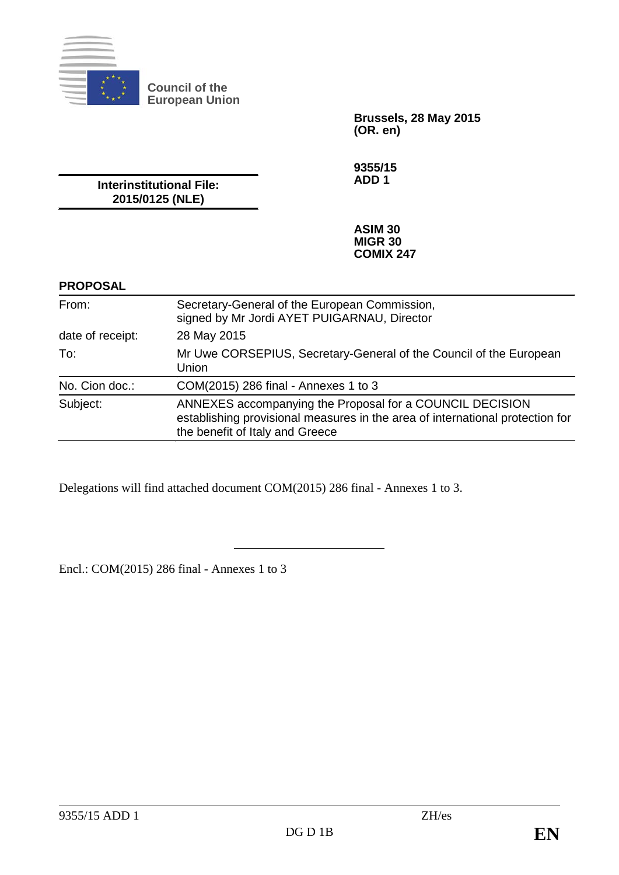

**Council of the European Union**

> **Brussels, 28 May 2015 (OR. en)**

**9355/15 ADD 1**

**Interinstitutional File: 2015/0125 (NLE)**

> **ASIM 30 MIGR 30 COMIX 247**

#### **PROPOSAL**

| From:            | Secretary-General of the European Commission,<br>signed by Mr Jordi AYET PUIGARNAU, Director                                                                                 |
|------------------|------------------------------------------------------------------------------------------------------------------------------------------------------------------------------|
| date of receipt: | 28 May 2015                                                                                                                                                                  |
| To:              | Mr Uwe CORSEPIUS, Secretary-General of the Council of the European<br>Union                                                                                                  |
| No. Cion doc.:   | COM(2015) 286 final - Annexes 1 to 3                                                                                                                                         |
| Subject:         | ANNEXES accompanying the Proposal for a COUNCIL DECISION<br>establishing provisional measures in the area of international protection for<br>the benefit of Italy and Greece |

Delegations will find attached document COM(2015) 286 final - Annexes 1 to 3.

Encl.: COM(2015) 286 final - Annexes 1 to 3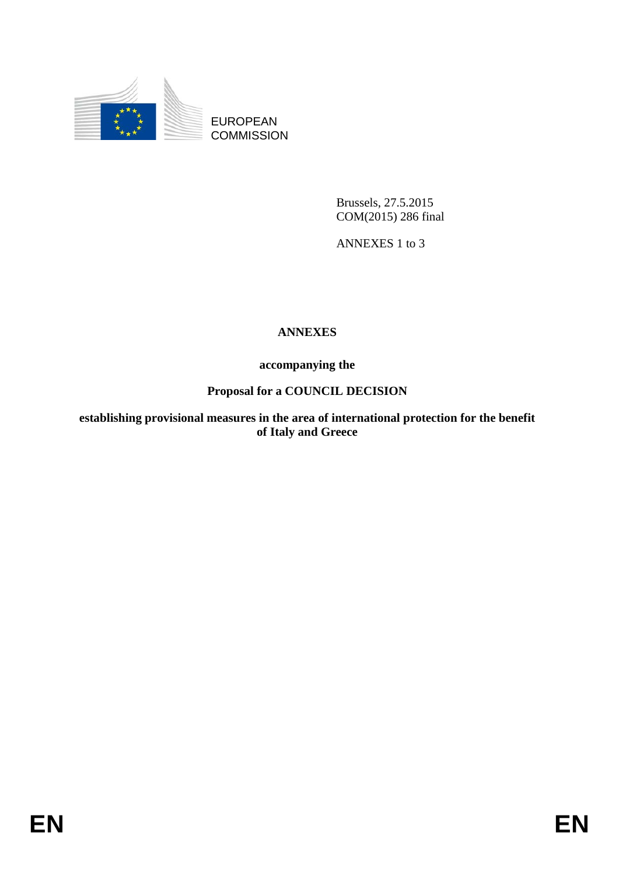

EUROPEAN **COMMISSION** 

> Brussels, 27.5.2015 COM(2015) 286 final

ANNEXES 1 to 3

# **ANNEXES**

**accompanying the**

# **Proposal for a COUNCIL DECISION**

**establishing provisional measures in the area of international protection for the benefit of Italy and Greece**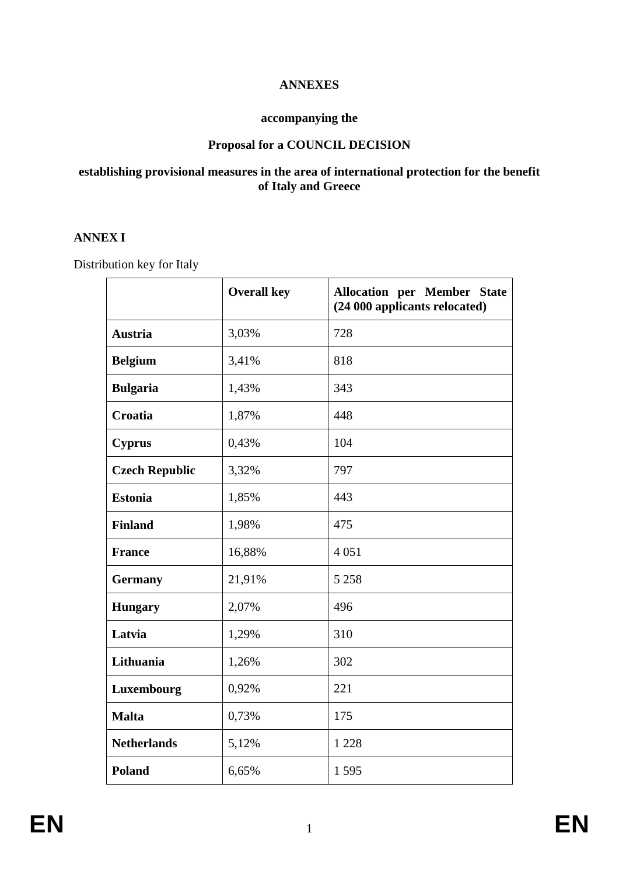## **ANNEXES**

#### **accompanying the**

## **Proposal for a COUNCIL DECISION**

#### **establishing provisional measures in the area of international protection for the benefit of Italy and Greece**

### **ANNEX I**

Distribution key for Italy

|                       | <b>Overall key</b> | <b>Allocation per Member State</b><br>(24 000 applicants relocated) |
|-----------------------|--------------------|---------------------------------------------------------------------|
| <b>Austria</b>        | 3,03%              | 728                                                                 |
| <b>Belgium</b>        | 3,41%              | 818                                                                 |
| <b>Bulgaria</b>       | 1,43%              | 343                                                                 |
| Croatia               | 1,87%              | 448                                                                 |
| <b>Cyprus</b>         | 0,43%              | 104                                                                 |
| <b>Czech Republic</b> | 3,32%              | 797                                                                 |
| <b>Estonia</b>        | 1,85%              | 443                                                                 |
| <b>Finland</b>        | 1,98%              | 475                                                                 |
| <b>France</b>         | 16,88%             | 4 0 5 1                                                             |
| <b>Germany</b>        | 21,91%             | 5 2 5 8                                                             |
| <b>Hungary</b>        | 2,07%              | 496                                                                 |
| Latvia                | 1,29%              | 310                                                                 |
| Lithuania             | 1,26%              | 302                                                                 |
| Luxembourg            | 0,92%              | 221                                                                 |
| <b>Malta</b>          | 0,73%              | 175                                                                 |
| <b>Netherlands</b>    | 5,12%              | 1 2 2 8                                                             |
| Poland                | 6,65%              | 1595                                                                |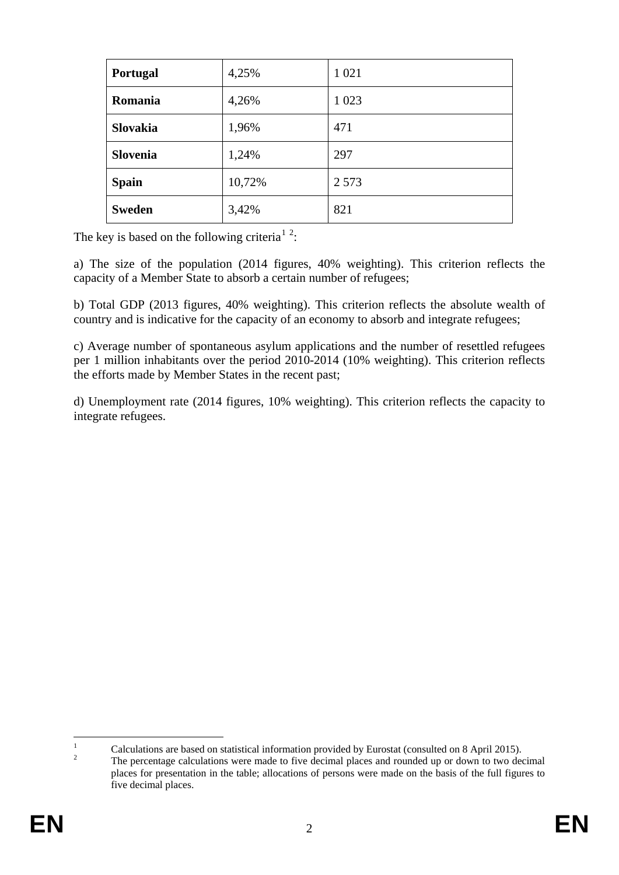| Portugal        | 4,25%  | 1 0 2 1 |
|-----------------|--------|---------|
| Romania         | 4,26%  | 1 0 2 3 |
| <b>Slovakia</b> | 1,96%  | 471     |
| Slovenia        | 1,24%  | 297     |
| <b>Spain</b>    | 10,72% | 2 5 7 3 |
| <b>Sweden</b>   | 3,42%  | 821     |

The key is based on the following criteria<sup>[1](#page-3-0)</sup><sup>[2](#page-3-1)</sup>:

a) The size of the population (2014 figures, 40% weighting). This criterion reflects the capacity of a Member State to absorb a certain number of refugees;

b) Total GDP (2013 figures, 40% weighting). This criterion reflects the absolute wealth of country and is indicative for the capacity of an economy to absorb and integrate refugees;

c) Average number of spontaneous asylum applications and the number of resettled refugees per 1 million inhabitants over the period 2010-2014 (10% weighting). This criterion reflects the efforts made by Member States in the recent past;

d) Unemployment rate (2014 figures, 10% weighting). This criterion reflects the capacity to integrate refugees.

 $\mathbf{1}$ 

<span id="page-3-1"></span><span id="page-3-0"></span><sup>&</sup>lt;sup>1</sup> Calculations are based on statistical information provided by Eurostat (consulted on 8 April 2015).<br><sup>2</sup> The percentage calculations were made to five decimal places and rounded up or down to two decimal places for presentation in the table; allocations of persons were made on the basis of the full figures to five decimal places.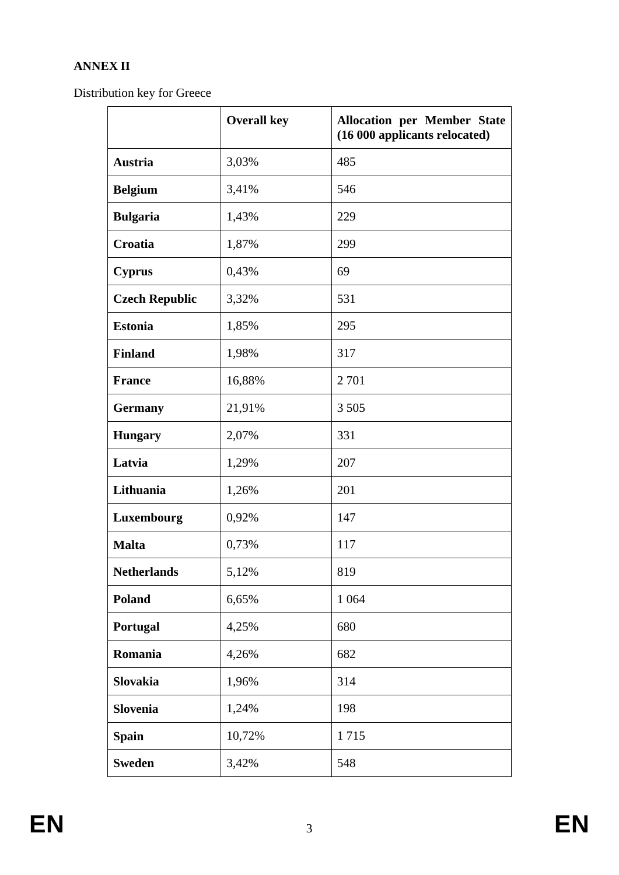# **ANNEX II**

Distribution key for Greece

|                       | <b>Overall key</b> | <b>Allocation per Member State</b><br>(16 000 applicants relocated) |  |  |  |  |  |
|-----------------------|--------------------|---------------------------------------------------------------------|--|--|--|--|--|
| <b>Austria</b>        | 3,03%              | 485                                                                 |  |  |  |  |  |
| <b>Belgium</b>        | 3,41%              | 546                                                                 |  |  |  |  |  |
| <b>Bulgaria</b>       | 1,43%              | 229                                                                 |  |  |  |  |  |
| Croatia               | 1,87%              | 299                                                                 |  |  |  |  |  |
| <b>Cyprus</b>         | 0,43%              | 69                                                                  |  |  |  |  |  |
| <b>Czech Republic</b> | 3,32%              | 531                                                                 |  |  |  |  |  |
| <b>Estonia</b>        | 1,85%              | 295                                                                 |  |  |  |  |  |
| <b>Finland</b>        | 1,98%              | 317                                                                 |  |  |  |  |  |
| <b>France</b>         | 16,88%             | 2 7 0 1                                                             |  |  |  |  |  |
| <b>Germany</b>        | 21,91%             | 3 5 0 5                                                             |  |  |  |  |  |
| <b>Hungary</b>        | 2,07%              | 331                                                                 |  |  |  |  |  |
| Latvia                | 1,29%              | 207                                                                 |  |  |  |  |  |
| Lithuania             | 1,26%              | 201                                                                 |  |  |  |  |  |
| Luxembourg            | 0,92%              | 147                                                                 |  |  |  |  |  |
| <b>Malta</b>          | 0,73%              | 117                                                                 |  |  |  |  |  |
| <b>Netherlands</b>    | 5,12%              | 819                                                                 |  |  |  |  |  |
| <b>Poland</b>         | 6,65%              | 1 0 6 4                                                             |  |  |  |  |  |
| Portugal              | 4,25%              | 680                                                                 |  |  |  |  |  |
| Romania               | 4,26%              | 682                                                                 |  |  |  |  |  |
| Slovakia              | 1,96%              | 314                                                                 |  |  |  |  |  |
| Slovenia              | 1,24%              | 198                                                                 |  |  |  |  |  |
| <b>Spain</b>          | 10,72%             | 1715                                                                |  |  |  |  |  |
| <b>Sweden</b>         | 3,42%              | 548                                                                 |  |  |  |  |  |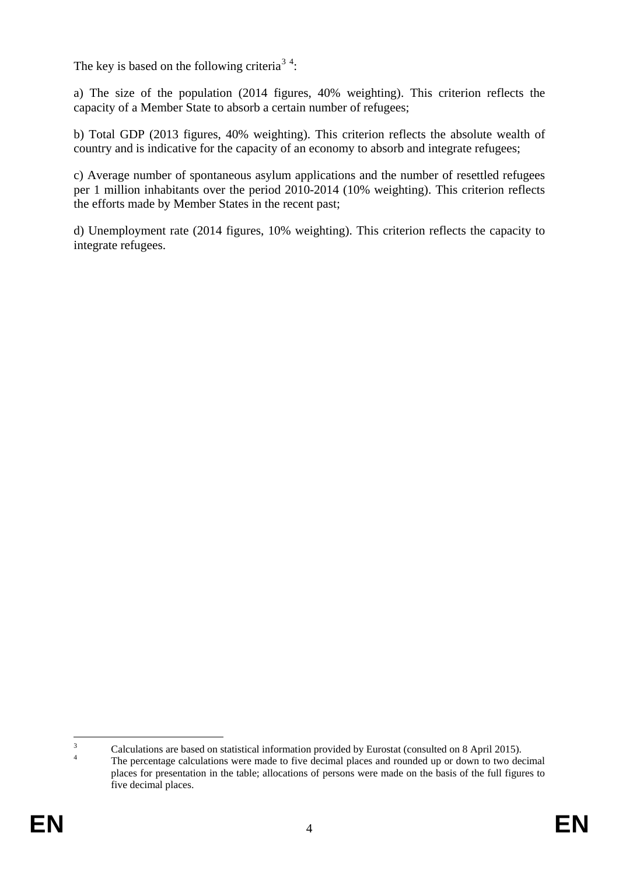The key is based on the following criteria<sup>[3](#page-5-0)[4](#page-5-1)</sup>:

a) The size of the population (2014 figures, 40% weighting). This criterion reflects the capacity of a Member State to absorb a certain number of refugees;

b) Total GDP (2013 figures, 40% weighting). This criterion reflects the absolute wealth of country and is indicative for the capacity of an economy to absorb and integrate refugees;

c) Average number of spontaneous asylum applications and the number of resettled refugees per 1 million inhabitants over the period 2010-2014 (10% weighting). This criterion reflects the efforts made by Member States in the recent past;

d) Unemployment rate (2014 figures, 10% weighting). This criterion reflects the capacity to integrate refugees.

<span id="page-5-1"></span><span id="page-5-0"></span> $\frac{3}{4}$  Calculations are based on statistical information provided by Eurostat (consulted on 8 April 2015).<br>The percentage calculations were made to five decimal places and rounded up or down to two decimal  $\overline{3}$ 

places for presentation in the table; allocations of persons were made on the basis of the full figures to five decimal places.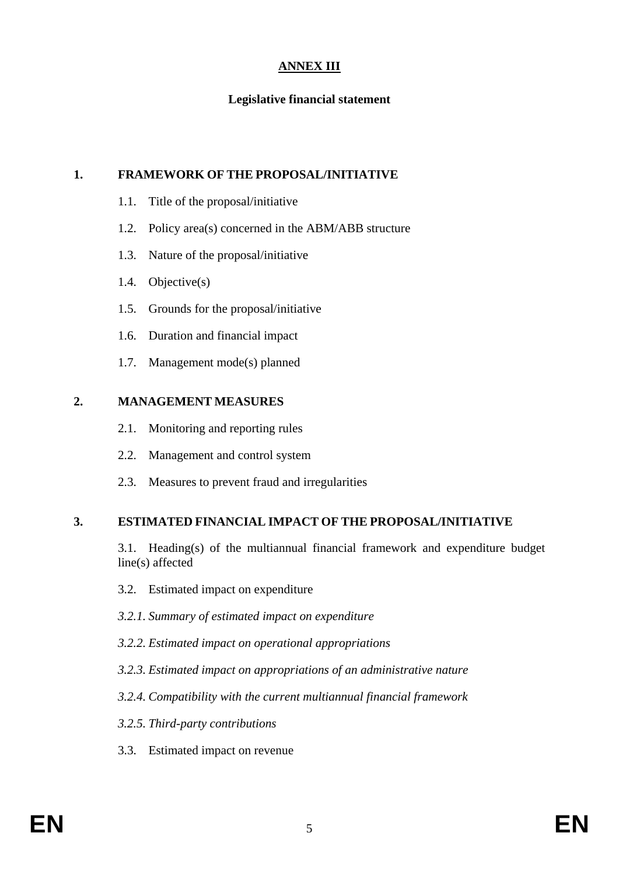## **ANNEX III**

### **Legislative financial statement**

#### **1. FRAMEWORK OF THE PROPOSAL/INITIATIVE**

- 1.1. Title of the proposal/initiative
- 1.2. Policy area(s) concerned in the ABM/ABB structure
- 1.3. Nature of the proposal/initiative
- 1.4. Objective(s)
- 1.5. Grounds for the proposal/initiative
- 1.6. Duration and financial impact
- 1.7. Management mode(s) planned

#### **2. MANAGEMENT MEASURES**

- 2.1. Monitoring and reporting rules
- 2.2. Management and control system
- 2.3. Measures to prevent fraud and irregularities

## **3. ESTIMATED FINANCIAL IMPACT OF THE PROPOSAL/INITIATIVE**

3.1. Heading(s) of the multiannual financial framework and expenditure budget line(s) affected

- 3.2. Estimated impact on expenditure
- *3.2.1. Summary of estimated impact on expenditure*
- *3.2.2. Estimated impact on operational appropriations*
- *3.2.3. Estimated impact on appropriations of an administrative nature*
- *3.2.4. Compatibility with the current multiannual financial framework*
- *3.2.5. Third-party contributions*
- 3.3. Estimated impact on revenue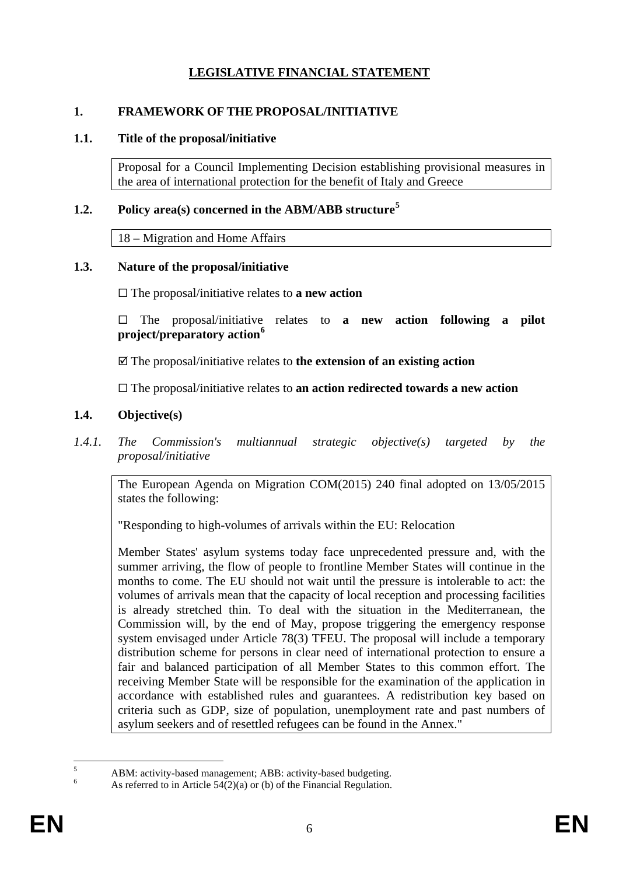# **LEGISLATIVE FINANCIAL STATEMENT**

## **1. FRAMEWORK OF THE PROPOSAL/INITIATIVE**

#### **1.1. Title of the proposal/initiative**

Proposal for a Council Implementing Decision establishing provisional measures in the area of international protection for the benefit of Italy and Greece

## **1.2. Policy area(s) concerned in the ABM/ABB structure[5](#page-7-0)**

18 – Migration and Home Affairs

#### **1.3. Nature of the proposal/initiative**

The proposal/initiative relates to **a new action**

 The proposal/initiative relates to **a new action following a pilot project/preparatory action[6](#page-7-1)**

The proposal/initiative relates to **the extension of an existing action**

The proposal/initiative relates to **an action redirected towards a new action**

## **1.4. Objective(s)**

*1.4.1. The Commission's multiannual strategic objective(s) targeted by the proposal/initiative* 

The European Agenda on Migration COM(2015) 240 final adopted on 13/05/2015 states the following:

"Responding to high-volumes of arrivals within the EU: Relocation

Member States' asylum systems today face unprecedented pressure and, with the summer arriving, the flow of people to frontline Member States will continue in the months to come. The EU should not wait until the pressure is intolerable to act: the volumes of arrivals mean that the capacity of local reception and processing facilities is already stretched thin. To deal with the situation in the Mediterranean, the Commission will, by the end of May, propose triggering the emergency response system envisaged under Article 78(3) TFEU. The proposal will include a temporary distribution scheme for persons in clear need of international protection to ensure a fair and balanced participation of all Member States to this common effort. The receiving Member State will be responsible for the examination of the application in accordance with established rules and guarantees. A redistribution key based on criteria such as GDP, size of population, unemployment rate and past numbers of asylum seekers and of resettled refugees can be found in the Annex."

<span id="page-7-1"></span><span id="page-7-0"></span><sup>&</sup>lt;sup>5</sup> ABM: activity-based management; ABB: activity-based budgeting.<br><sup>6</sup> As referred to in Article 54(2)(a) or (b) of the Financial Regulation.  $\overline{\phantom{a}}$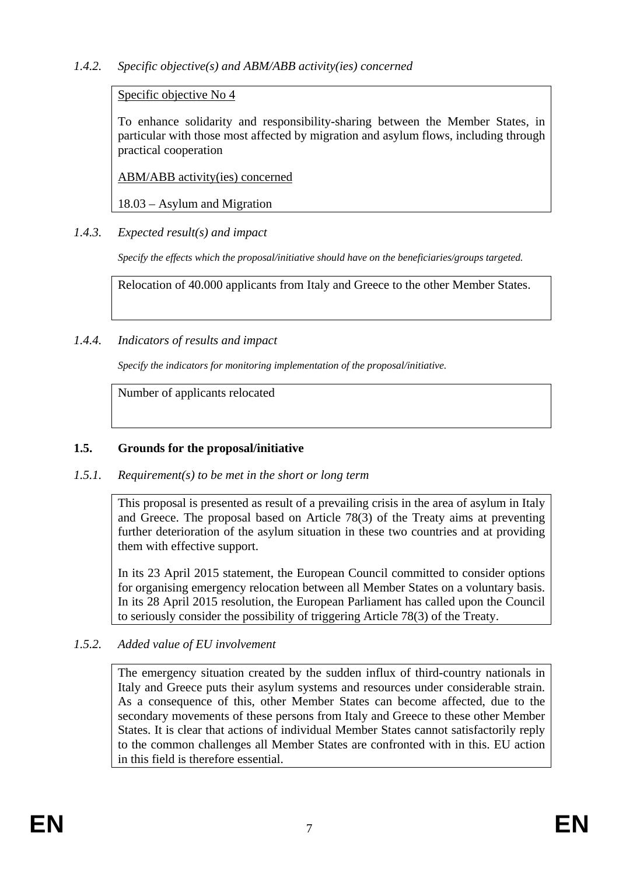# Specific objective No 4

To enhance solidarity and responsibility-sharing between the Member States, in particular with those most affected by migration and asylum flows, including through practical cooperation

ABM/ABB activity(ies) concerned

18.03 – Asylum and Migration

# *1.4.3. Expected result(s) and impact*

*Specify the effects which the proposal/initiative should have on the beneficiaries/groups targeted.*

Relocation of 40.000 applicants from Italy and Greece to the other Member States.

# *1.4.4. Indicators of results and impact*

*Specify the indicators for monitoring implementation of the proposal/initiative.*

Number of applicants relocated

# **1.5. Grounds for the proposal/initiative**

# *1.5.1. Requirement(s) to be met in the short or long term*

This proposal is presented as result of a prevailing crisis in the area of asylum in Italy and Greece. The proposal based on Article 78(3) of the Treaty aims at preventing further deterioration of the asylum situation in these two countries and at providing them with effective support.

In its 23 April 2015 statement, the European Council committed to consider options for organising emergency relocation between all Member States on a voluntary basis. In its 28 April 2015 resolution, the European Parliament has called upon the Council to seriously consider the possibility of triggering Article 78(3) of the Treaty.

# *1.5.2. Added value of EU involvement*

The emergency situation created by the sudden influx of third-country nationals in Italy and Greece puts their asylum systems and resources under considerable strain. As a consequence of this, other Member States can become affected, due to the secondary movements of these persons from Italy and Greece to these other Member States. It is clear that actions of individual Member States cannot satisfactorily reply to the common challenges all Member States are confronted with in this. EU action in this field is therefore essential.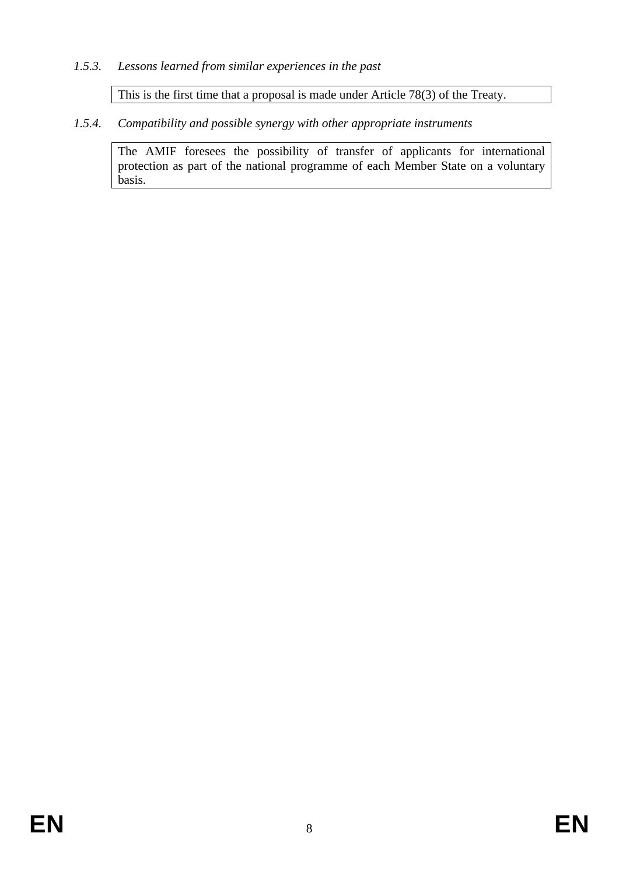## *1.5.3. Lessons learned from similar experiences in the past*

This is the first time that a proposal is made under Article 78(3) of the Treaty.

*1.5.4. Compatibility and possible synergy with other appropriate instruments*

The AMIF foresees the possibility of transfer of applicants for international protection as part of the national programme of each Member State on a voluntary basis.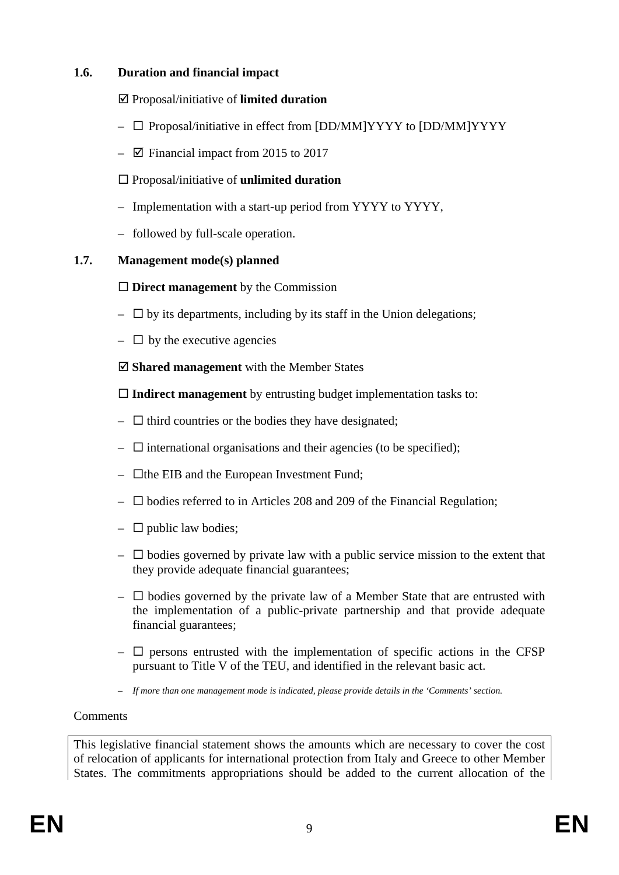## **1.6. Duration and financial impact**

## Proposal/initiative of **limited duration**

- $\Box$  Proposal/initiative in effect from [DD/MM]YYYY to [DD/MM]YYYY
- $\boxtimes$  Financial impact from 2015 to 2017

## Proposal/initiative of **unlimited duration**

- Implementation with a start-up period from YYYY to YYYY,
- followed by full-scale operation.

## **1.7. Management mode(s) planned**

## **Direct management** by the Commission

- $-\Box$  by its departments, including by its staff in the Union delegations;
- $\Box$  by the executive agencies

**Shared management** with the Member States

**Indirect management** by entrusting budget implementation tasks to:

- $\Box$  third countries or the bodies they have designated;
- $\Box$  international organisations and their agencies (to be specified);
- $\Box$  the EIB and the European Investment Fund;
- $\square$  bodies referred to in Articles 208 and 209 of the Financial Regulation;
- $\Box$  public law bodies;
- $-\Box$  bodies governed by private law with a public service mission to the extent that they provide adequate financial guarantees;
- $\Box$  bodies governed by the private law of a Member State that are entrusted with the implementation of a public-private partnership and that provide adequate financial guarantees;
- $\Box$  persons entrusted with the implementation of specific actions in the CFSP pursuant to Title V of the TEU, and identified in the relevant basic act.
- *If more than one management mode is indicated, please provide details in the 'Comments' section.*

## **Comments**

This legislative financial statement shows the amounts which are necessary to cover the cost of relocation of applicants for international protection from Italy and Greece to other Member States. The commitments appropriations should be added to the current allocation of the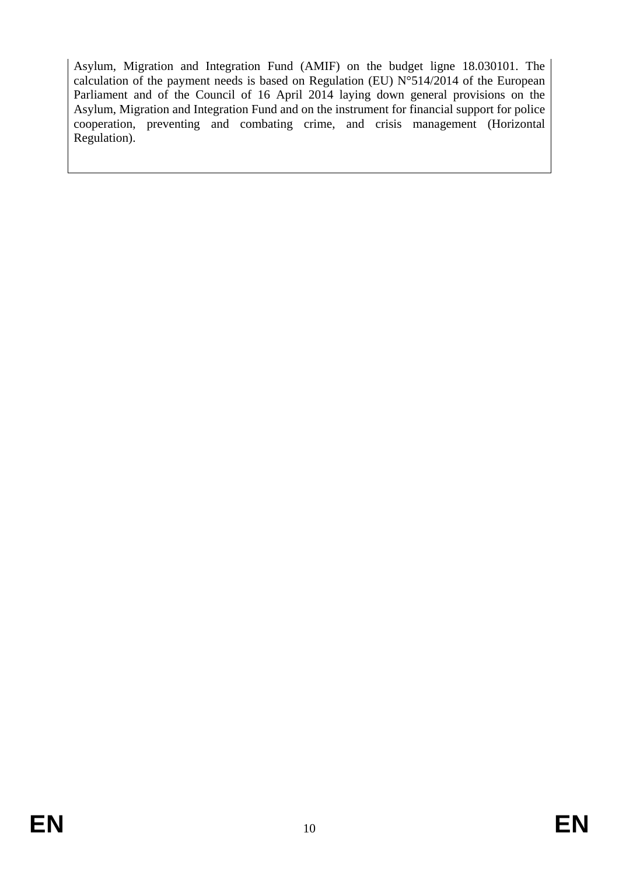Asylum, Migration and Integration Fund (AMIF) on the budget ligne 18.030101. The calculation of the payment needs is based on Regulation (EU)  $N^{\circ}514/2014$  of the European Parliament and of the Council of 16 April 2014 laying down general provisions on the Asylum, Migration and Integration Fund and on the instrument for financial support for police cooperation, preventing and combating crime, and crisis management (Horizontal Regulation).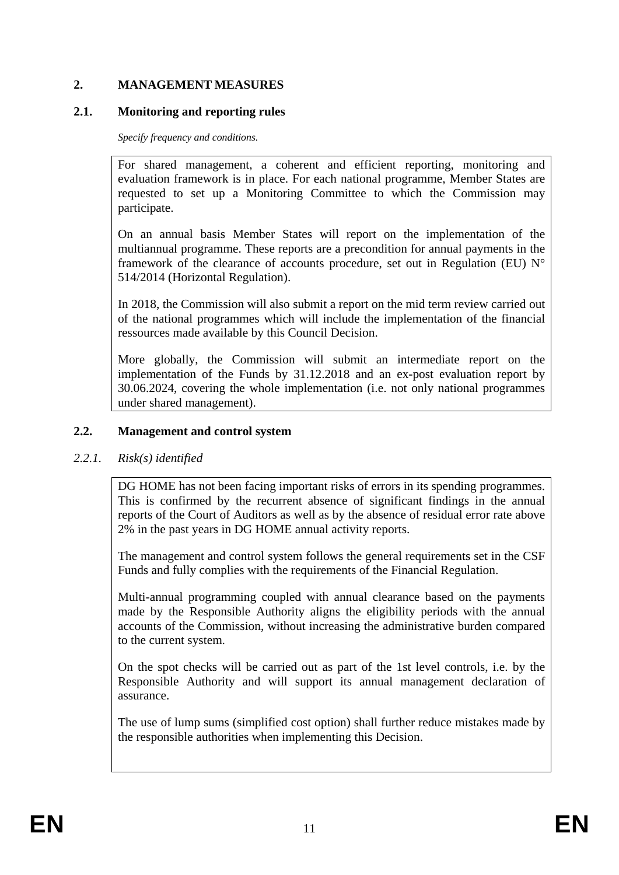# **2. MANAGEMENT MEASURES**

### **2.1. Monitoring and reporting rules**

*Specify frequency and conditions.*

For shared management, a coherent and efficient reporting, monitoring and evaluation framework is in place. For each national programme, Member States are requested to set up a Monitoring Committee to which the Commission may participate.

On an annual basis Member States will report on the implementation of the multiannual programme. These reports are a precondition for annual payments in the framework of the clearance of accounts procedure, set out in Regulation (EU) N° 514/2014 (Horizontal Regulation).

In 2018, the Commission will also submit a report on the mid term review carried out of the national programmes which will include the implementation of the financial ressources made available by this Council Decision.

More globally, the Commission will submit an intermediate report on the implementation of the Funds by 31.12.2018 and an ex-post evaluation report by 30.06.2024, covering the whole implementation (i.e. not only national programmes under shared management).

## **2.2. Management and control system**

## *2.2.1. Risk(s) identified*

DG HOME has not been facing important risks of errors in its spending programmes. This is confirmed by the recurrent absence of significant findings in the annual reports of the Court of Auditors as well as by the absence of residual error rate above 2% in the past years in DG HOME annual activity reports.

The management and control system follows the general requirements set in the CSF Funds and fully complies with the requirements of the Financial Regulation.

Multi-annual programming coupled with annual clearance based on the payments made by the Responsible Authority aligns the eligibility periods with the annual accounts of the Commission, without increasing the administrative burden compared to the current system.

On the spot checks will be carried out as part of the 1st level controls, i.e. by the Responsible Authority and will support its annual management declaration of assurance.

The use of lump sums (simplified cost option) shall further reduce mistakes made by the responsible authorities when implementing this Decision.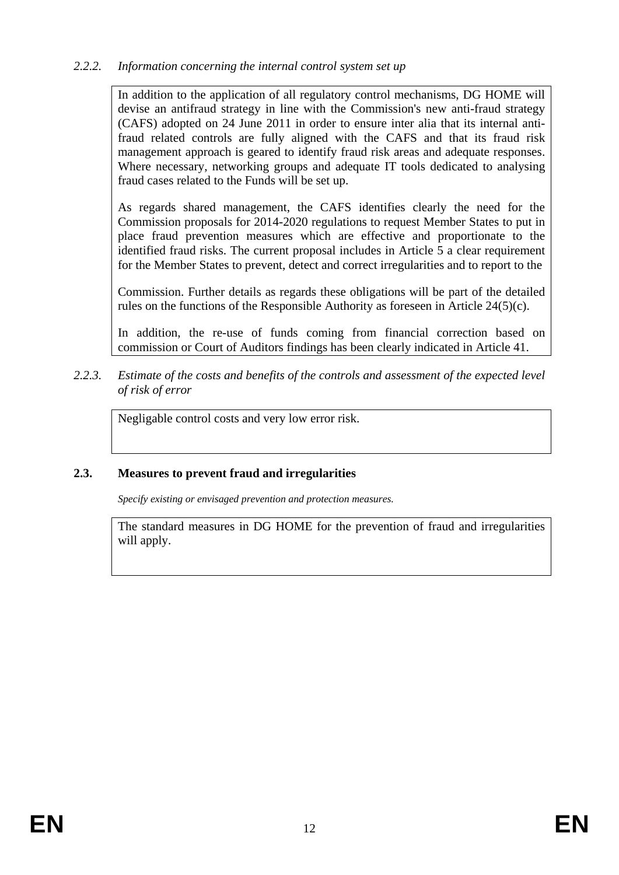## *2.2.2. Information concerning the internal control system set up*

In addition to the application of all regulatory control mechanisms, DG HOME will devise an antifraud strategy in line with the Commission's new anti-fraud strategy (CAFS) adopted on 24 June 2011 in order to ensure inter alia that its internal antifraud related controls are fully aligned with the CAFS and that its fraud risk management approach is geared to identify fraud risk areas and adequate responses. Where necessary, networking groups and adequate IT tools dedicated to analysing fraud cases related to the Funds will be set up.

As regards shared management, the CAFS identifies clearly the need for the Commission proposals for 2014-2020 regulations to request Member States to put in place fraud prevention measures which are effective and proportionate to the identified fraud risks. The current proposal includes in Article 5 a clear requirement for the Member States to prevent, detect and correct irregularities and to report to the

Commission. Further details as regards these obligations will be part of the detailed rules on the functions of the Responsible Authority as foreseen in Article 24(5)(c).

In addition, the re-use of funds coming from financial correction based on commission or Court of Auditors findings has been clearly indicated in Article 41.

*2.2.3. Estimate of the costs and benefits of the controls and assessment of the expected level of risk of error* 

Negligable control costs and very low error risk.

#### **2.3. Measures to prevent fraud and irregularities**

*Specify existing or envisaged prevention and protection measures.*

The standard measures in DG HOME for the prevention of fraud and irregularities will apply.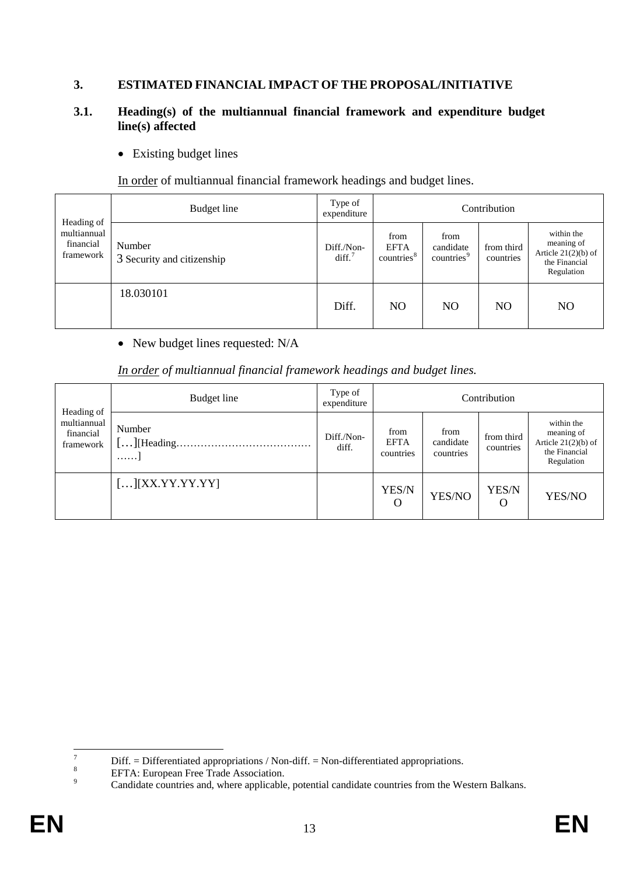# **3. ESTIMATED FINANCIAL IMPACT OF THE PROPOSAL/INITIATIVE**

#### **3.1. Heading(s) of the multiannual financial framework and expenditure budget line(s) affected**

• Existing budget lines

In order of multiannual financial framework headings and budget lines.

|                                                     | Budget line                          | Type of<br>expenditure           | Contribution                                  |                                             |                         |                                                                                  |  |
|-----------------------------------------------------|--------------------------------------|----------------------------------|-----------------------------------------------|---------------------------------------------|-------------------------|----------------------------------------------------------------------------------|--|
| Heading of<br>multiannual<br>financial<br>framework | Number<br>3 Security and citizenship | Diff./Non-<br>diff. <sup>7</sup> | from<br><b>EFTA</b><br>countries <sup>8</sup> | from<br>candidate<br>countries <sup>9</sup> | from third<br>countries | within the<br>meaning of<br>Article $21(2)(b)$ of<br>the Financial<br>Regulation |  |
|                                                     | 18.030101                            | Diff.                            | N <sub>O</sub>                                | N <sub>O</sub>                              | N <sub>O</sub>          | N <sub>O</sub>                                                                   |  |

• New budget lines requested: N/A

|  |  | <u>In order</u> of multiannual financial framework headings and budget lines. |
|--|--|-------------------------------------------------------------------------------|
|--|--|-------------------------------------------------------------------------------|

|                                                     | Budget line                                | Type of<br>expenditure | Contribution                                                                                  |        |                                                                                  |        |  |
|-----------------------------------------------------|--------------------------------------------|------------------------|-----------------------------------------------------------------------------------------------|--------|----------------------------------------------------------------------------------|--------|--|
| Heading of<br>multiannual<br>financial<br>framework | Number<br>.                                | Diff./Non-<br>diff.    | from<br>from<br>from third<br><b>EFTA</b><br>candidate<br>countries<br>countries<br>countries |        | within the<br>meaning of<br>Article $21(2)(b)$ of<br>the Financial<br>Regulation |        |  |
|                                                     | $\left[\ldots\right]\left[XXYYYYYY\right]$ |                        | YES/N<br>O                                                                                    | YES/NO | YES/N<br>O                                                                       | YES/NO |  |

 $\overline{7}$ 

<span id="page-14-2"></span>

<span id="page-14-1"></span><span id="page-14-0"></span><sup>&</sup>lt;sup>7</sup><br>
Diff. = Differentiated appropriations / Non-diff. = Non-differentiated appropriations.<br>
<sup>8</sup><br>
EFTA: European Free Trade Association.<br>
Candidate countries and, where applicable, potential candidate countries from the W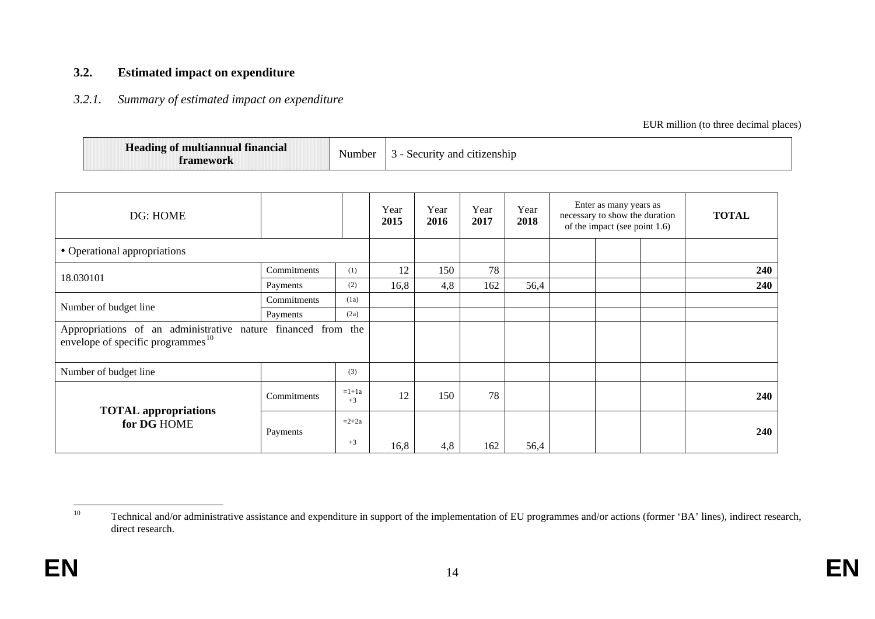#### **3.2. Estimated impact on expenditure**

#### *3.2.1. Summary of estimated impact on expenditure*

<span id="page-15-0"></span>EUR million (to three decimal places)

| $\mathbf{r}$<br><b>Heading of multiannual financial</b><br>Number<br>framework | and citizenship /<br><b>Security</b> |  |
|--------------------------------------------------------------------------------|--------------------------------------|--|
|--------------------------------------------------------------------------------|--------------------------------------|--|

| DG: HOME                                                                                                      |             |                 | Year<br>2015 | Year<br>2016 | Year<br>2017 | Year<br>2018 | Enter as many years as<br>necessary to show the duration<br>of the impact (see point 1.6) | <b>TOTAL</b> |
|---------------------------------------------------------------------------------------------------------------|-------------|-----------------|--------------|--------------|--------------|--------------|-------------------------------------------------------------------------------------------|--------------|
| • Operational appropriations                                                                                  |             |                 |              |              |              |              |                                                                                           |              |
| 18.030101                                                                                                     | Commitments | (1)             | 12           | 150          | 78           |              |                                                                                           | 240          |
|                                                                                                               | Payments    | (2)             | 16,8         | 4,8          | 162          | 56,4         |                                                                                           | 240          |
| Number of budget line                                                                                         | Commitments | (1a)            |              |              |              |              |                                                                                           |              |
|                                                                                                               | Payments    | (2a)            |              |              |              |              |                                                                                           |              |
| Appropriations of an administrative nature financed from the<br>envelope of specific programmes <sup>10</sup> |             |                 |              |              |              |              |                                                                                           |              |
| Number of budget line                                                                                         |             | (3)             |              |              |              |              |                                                                                           |              |
| <b>TOTAL</b> appropriations                                                                                   | Commitments | $=1+1a$<br>$+3$ | 12           | 150          | 78           |              |                                                                                           | 240          |
| for DG HOME                                                                                                   | Payments    | $=2+2a$         |              |              |              |              |                                                                                           | 240          |
|                                                                                                               |             | $+3$            | 16,8         | 4,8          | 162          | 56,4         |                                                                                           |              |

<sup>10</sup> Technical and/or administrative assistance and expenditure in support of the implementation of EU programmes and/or actions (former 'BA' lines), indirect research, direct research.  $10\,$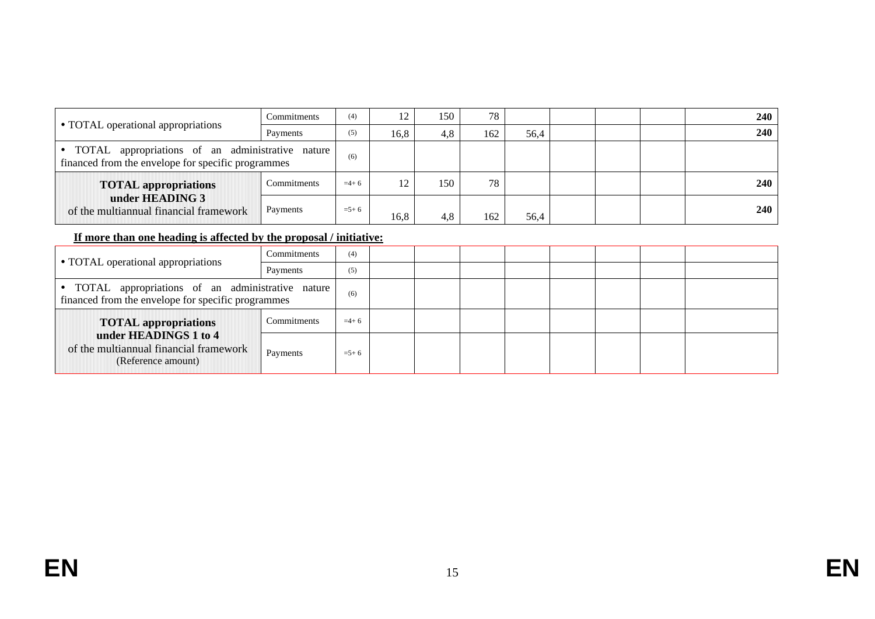|                                                                                                          | Commitments | (4)       | 12   | 150 | 78  |      |  | <b>240</b> |
|----------------------------------------------------------------------------------------------------------|-------------|-----------|------|-----|-----|------|--|------------|
| • TOTAL operational appropriations                                                                       | Payments    | (5)       | 16.8 | 4.8 | 162 | 56,4 |  | <b>240</b> |
| • TOTAL appropriations of an administrative nature<br>financed from the envelope for specific programmes |             | (6)       |      |     |     |      |  |            |
| <b>TOTAL appropriations</b>                                                                              | Commitments | $=4+6$    | 12.  | 150 | 78  |      |  | <b>240</b> |
| under HEADING 3<br>of the multiannual financial framework                                                | Payments    | $= 5 + 6$ | 16,8 | 4,8 | 162 | 56,4 |  | 240        |

## **If more than one heading is affected by the proposal / initiative:**

|                                                                                                          | Commitments | (4)       |  |  |  |  |
|----------------------------------------------------------------------------------------------------------|-------------|-----------|--|--|--|--|
| • TOTAL operational appropriations                                                                       | Payments    | (5)       |  |  |  |  |
| • TOTAL appropriations of an administrative nature<br>financed from the envelope for specific programmes |             | (6)       |  |  |  |  |
| <b>TOTAL</b> appropriations                                                                              | Commitments | $=4+6$    |  |  |  |  |
| under HEADINGS 1 to 4<br>of the multiannual financial framework<br>(Reference amount)                    | Payments    | $= 5 + 6$ |  |  |  |  |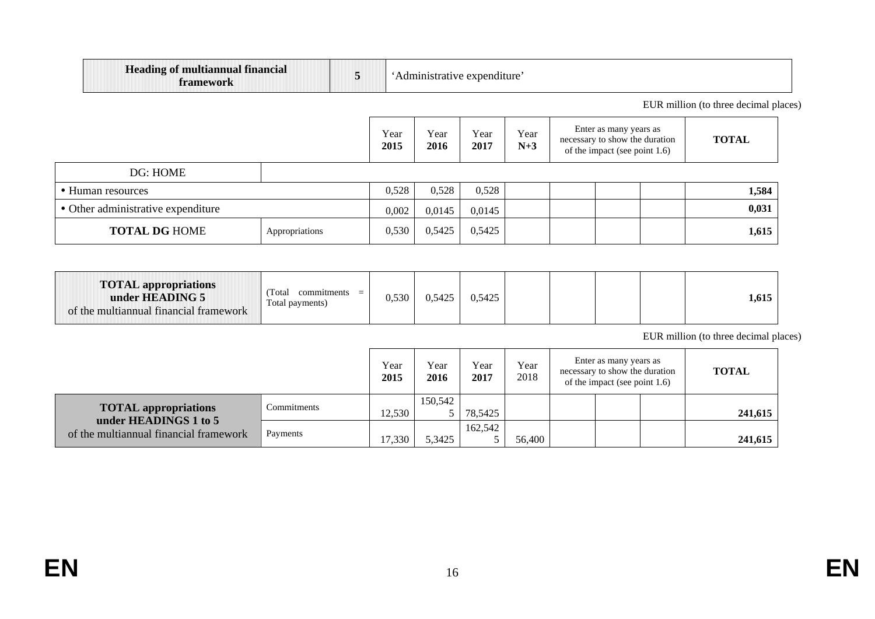| <b>Heading of multiannual financial</b><br>framework |  | expenditure |
|------------------------------------------------------|--|-------------|
|------------------------------------------------------|--|-------------|

EUR million (to three decimal places)

|                                        |  |       | Year<br>2016 | Year<br>2017 | Year<br>$N+3$ | Enter as many years as<br>necessary to show the duration<br>of the impact (see point 1.6) | <b>TOTAL</b> |
|----------------------------------------|--|-------|--------------|--------------|---------------|-------------------------------------------------------------------------------------------|--------------|
| DG: HOME                               |  |       |              |              |               |                                                                                           |              |
| • Human resources                      |  |       | 0,528        | 0,528        |               |                                                                                           | 1,584        |
| • Other administrative expenditure     |  |       | 0,0145       | 0,0145       |               |                                                                                           | 0,031        |
| <b>TOTAL DG HOME</b><br>Appropriations |  | 0,530 | 0,5425       | 0,5425       |               |                                                                                           | 1,615        |

| <b>TOTAL</b> appropriations<br>Total<br>commitments<br>under HEADING 5<br>Total payments)<br>of the multiannual financial framework | $=$ | .5425 | 0,5425 |  |  |  |  | 1,615 |
|-------------------------------------------------------------------------------------------------------------------------------------|-----|-------|--------|--|--|--|--|-------|
|-------------------------------------------------------------------------------------------------------------------------------------|-----|-------|--------|--|--|--|--|-------|

EUR million (to three decimal places)

|                                                                                                |             |        | Year<br>2016 | Year<br>2017 | Year<br>2018 | Enter as many years as<br>necessary to show the duration<br>of the impact (see point $1.6$ ) | <b>TOTAL</b> |
|------------------------------------------------------------------------------------------------|-------------|--------|--------------|--------------|--------------|----------------------------------------------------------------------------------------------|--------------|
| <b>TOTAL</b> appropriations<br>under HEADINGS 1 to 5<br>of the multiannual financial framework | Commitments | 12.530 | 150.542      | 78.5425      |              |                                                                                              | 241,615      |
|                                                                                                | Payments    | 17.330 | 5.3425       | 162,542      | 56,400       |                                                                                              | 241,615      |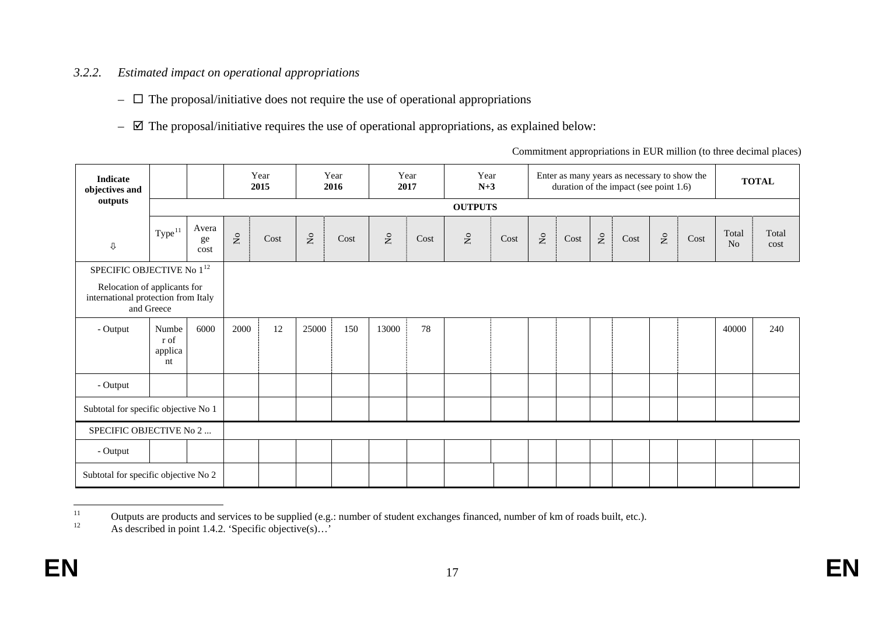# *3.2.2. Estimated impact on operational appropriations*

- $\Box$  The proposal/initiative does not require the use of operational appropriations
- $\boxtimes$  The proposal/initiative requires the use of operational appropriations, as explained below:

<span id="page-18-1"></span><span id="page-18-0"></span>

| <b>Indicate</b><br>objectives and                                   |                                |                     |                                   | Year<br>2015 |                           | Year<br>2016        | 2017               | Year                | Year<br>$N+3$ |      |              |      |              | Enter as many years as necessary to show the<br>duration of the impact (see point 1.6) |                           |      |                         | <b>TOTAL</b>  |
|---------------------------------------------------------------------|--------------------------------|---------------------|-----------------------------------|--------------|---------------------------|---------------------|--------------------|---------------------|---------------|------|--------------|------|--------------|----------------------------------------------------------------------------------------|---------------------------|------|-------------------------|---------------|
| outputs                                                             |                                |                     | <b>OUTPUTS</b>                    |              |                           |                     |                    |                     |               |      |              |      |              |                                                                                        |                           |      |                         |               |
| ⇩                                                                   | Type <sup>11</sup>             | Avera<br>ge<br>cost | $\rm \stackrel{\circ}{\rm \bf Z}$ | Cost         | $\rm \stackrel{\circ}{X}$ | $\mathop{\rm Cost}$ | $\rm _{Z}^{\circ}$ | $\mathop{\rm Cost}$ | $\mathsf{S}$  | Cost | $\mathsf{S}$ | Cost | $\mathsf{S}$ | $\mathop{\rm Cost}$                                                                    | $\mathsf{S}^{\mathsf{O}}$ | Cost | Total<br>N <sub>o</sub> | Total<br>cost |
| SPECIFIC OBJECTIVE No $1^{\rm 12}$                                  |                                |                     |                                   |              |                           |                     |                    |                     |               |      |              |      |              |                                                                                        |                           |      |                         |               |
| Relocation of applicants for<br>international protection from Italy | and Greece                     |                     |                                   |              |                           |                     |                    |                     |               |      |              |      |              |                                                                                        |                           |      |                         |               |
| - Output                                                            | Numbe<br>r of<br>applica<br>nt | 6000                | 2000                              | 12           | 25000                     | 150                 | 13000              | 78                  |               |      |              |      |              |                                                                                        |                           |      | 40000                   | 240           |
| - Output                                                            |                                |                     |                                   |              |                           |                     |                    |                     |               |      |              |      |              |                                                                                        |                           |      |                         |               |
| Subtotal for specific objective No 1                                |                                |                     |                                   |              |                           |                     |                    |                     |               |      |              |      |              |                                                                                        |                           |      |                         |               |
| SPECIFIC OBJECTIVE No 2                                             |                                |                     |                                   |              |                           |                     |                    |                     |               |      |              |      |              |                                                                                        |                           |      |                         |               |
| - Output                                                            |                                |                     |                                   |              |                           |                     |                    |                     |               |      |              |      |              |                                                                                        |                           |      |                         |               |
| Subtotal for specific objective No 2                                |                                |                     |                                   |              |                           |                     |                    |                     |               |      |              |      |              |                                                                                        |                           |      |                         |               |

<sup>&</sup>lt;sup>11</sup> Outputs are products and services to be supplied (e.g.: number of student exchanges financed, number of km of roads built, etc.).<br><sup>12</sup> As described in point 1.4.2. 'Specific objective(s)...'  $11\,$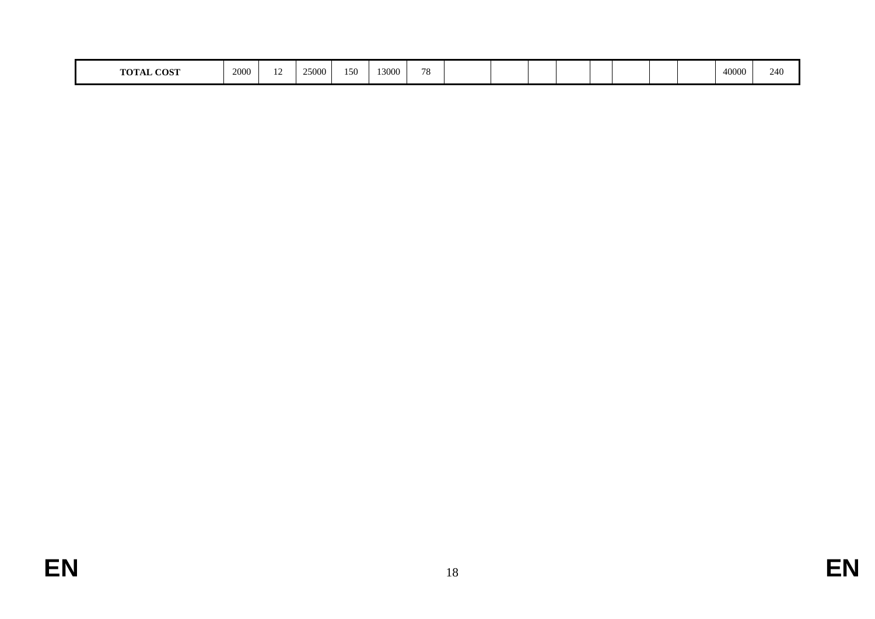| <b>COST</b><br>$T = \bigcap_{i=1}^n T_i$ | 2000 | $\ddot{\phantom{1}}$ | 25000 | 150 | 13000 | 70<br>$\sqrt{2}$ |  |  |  |  |  |  |  |  | 40000 | 240 |
|------------------------------------------|------|----------------------|-------|-----|-------|------------------|--|--|--|--|--|--|--|--|-------|-----|
|------------------------------------------|------|----------------------|-------|-----|-------|------------------|--|--|--|--|--|--|--|--|-------|-----|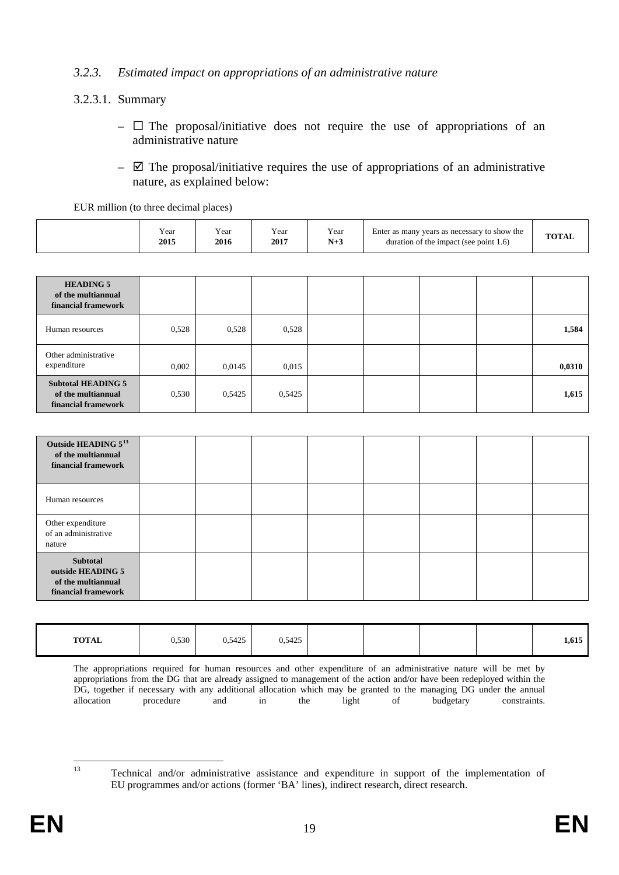#### *3.2.3. Estimated impact on appropriations of an administrative nature*

### 3.2.3.1. Summary

- $\Box$  The proposal/initiative does not require the use of appropriations of an administrative nature
- $\boxtimes$  The proposal/initiative requires the use of appropriations of an administrative nature, as explained below:

| EUR million (to three decimal places) |              |              |              |             |                                                                                        |              |  |  |  |  |
|---------------------------------------|--------------|--------------|--------------|-------------|----------------------------------------------------------------------------------------|--------------|--|--|--|--|
|                                       | Year<br>2015 | Year<br>2016 | Year<br>2017 | Year<br>N+3 | Enter as many years as necessary to show the<br>duration of the impact (see point 1.6) | <b>TOTAL</b> |  |  |  |  |

| <b>HEADING 5</b><br>of the multiannual<br>financial framework          |       |        |        |  |  |        |
|------------------------------------------------------------------------|-------|--------|--------|--|--|--------|
| Human resources                                                        | 0,528 | 0.528  | 0.528  |  |  | 1,584  |
| Other administrative<br>expenditure                                    | 0,002 | 0.0145 | 0.015  |  |  | 0,0310 |
| <b>Subtotal HEADING 5</b><br>of the multiannual<br>financial framework | 0,530 | 0,5425 | 0,5425 |  |  | 1,615  |

| Outside HEADING 5 <sup>13</sup><br>of the multiannual<br>financial framework |  |  |  |  |
|------------------------------------------------------------------------------|--|--|--|--|
| Human resources                                                              |  |  |  |  |
| Other expenditure<br>of an administrative<br>nature                          |  |  |  |  |
| Subtotal<br>outside HEADING 5<br>of the multiannual<br>financial framework   |  |  |  |  |

| <b>TOTAL</b> | 0,530 | 0,5425 | 0,5425 |  |  | 1,615 |
|--------------|-------|--------|--------|--|--|-------|
|              |       |        |        |  |  |       |

The appropriations required for human resources and other expenditure of an administrative nature will be met by appropriations from the DG that are already assigned to management of the action and/or have been redeployed within the DG, together if necessary with any additional allocation which may be granted to the managing DG under the annual allocation procedure and in the light of budgetary constraints. allocation procedure and in the light of budgetary constraints.

<span id="page-20-0"></span> $13$ 

<sup>13</sup> Technical and/or administrative assistance and expenditure in support of the implementation of EU programmes and/or actions (former 'BA' lines), indirect research, direct research.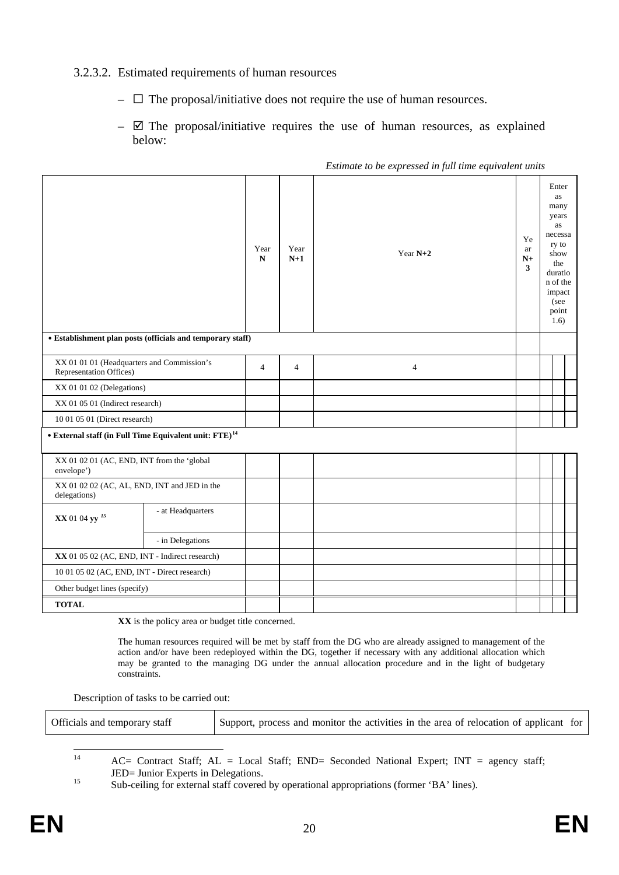#### 3.2.3.2. Estimated requirements of human resources

- $\Box$  The proposal/initiative does not require the use of human resources.
- $\boxtimes$  The proposal/initiative requires the use of human resources, as explained below:

|                                                                         |                                                            | Year<br>$\mathbf N$ | Year<br>$N+1$ | Year $N+2$     | Ye<br>ar<br>$N+$<br>3 | Enter<br>as<br>many<br>years<br>as<br>necessa<br>ry to<br>show<br>the<br>duratio<br>n of the<br>impact<br>(see<br>point |  |
|-------------------------------------------------------------------------|------------------------------------------------------------|---------------------|---------------|----------------|-----------------------|-------------------------------------------------------------------------------------------------------------------------|--|
|                                                                         |                                                            |                     |               |                |                       | 1.6)                                                                                                                    |  |
|                                                                         | • Establishment plan posts (officials and temporary staff) |                     |               |                |                       |                                                                                                                         |  |
| Representation Offices)                                                 | XX 01 01 01 (Headquarters and Commission's                 |                     |               | $\overline{4}$ |                       |                                                                                                                         |  |
| XX 01 01 02 (Delegations)                                               |                                                            |                     |               |                |                       |                                                                                                                         |  |
|                                                                         | XX 01 05 01 (Indirect research)                            |                     |               |                |                       |                                                                                                                         |  |
| 10 01 05 01 (Direct research)                                           |                                                            |                     |               |                |                       |                                                                                                                         |  |
| <br>• External staff (in Full Time Equivalent unit: FTE)<br>$^{\rm 14}$ |                                                            |                     |               |                |                       |                                                                                                                         |  |
|                                                                         |                                                            |                     |               |                |                       |                                                                                                                         |  |
| XX 01 02 01 (AC, END, INT from the 'global<br>envelope')                |                                                            |                     |               |                |                       |                                                                                                                         |  |
| XX 01 02 02 (AC, AL, END, INT and JED in the<br>delegations)            |                                                            |                     |               |                |                       |                                                                                                                         |  |
| XX 01 04 yy <sup>15</sup>                                               | - at Headquarters                                          |                     |               |                |                       |                                                                                                                         |  |
|                                                                         | - in Delegations                                           |                     |               |                |                       |                                                                                                                         |  |
|                                                                         | XX 01 05 02 (AC, END, INT - Indirect research)             |                     |               |                |                       |                                                                                                                         |  |
| 10 01 05 02 (AC, END, INT - Direct research)                            |                                                            |                     |               |                |                       |                                                                                                                         |  |
| Other budget lines (specify)                                            |                                                            |                     |               |                |                       |                                                                                                                         |  |
| <b>TOTAL</b>                                                            |                                                            |                     |               |                |                       |                                                                                                                         |  |

*Estimate to be expressed in full time equivalent units*

**XX** is the policy area or budget title concerned.

The human resources required will be met by staff from the DG who are already assigned to management of the action and/or have been redeployed within the DG, together if necessary with any additional allocation which may be granted to the managing DG under the annual allocation procedure and in the light of budgetary constraints.

Description of tasks to be carried out:

<span id="page-21-0"></span>

| Officials and temporary staff | Support, process and monitor the activities in the area of relocation of applicant for |  |
|-------------------------------|----------------------------------------------------------------------------------------|--|
|                               |                                                                                        |  |

 $AC=$  Contract Staff;  $AL = Local$  Staff;  $END=$  Seconded National Expert;  $INT = agency$  staff;  $14$ 

<span id="page-21-1"></span>JED= Junior Experts in Delegations.<br>
Sub-ceiling for external staff covered by operational appropriations (former 'BA' lines).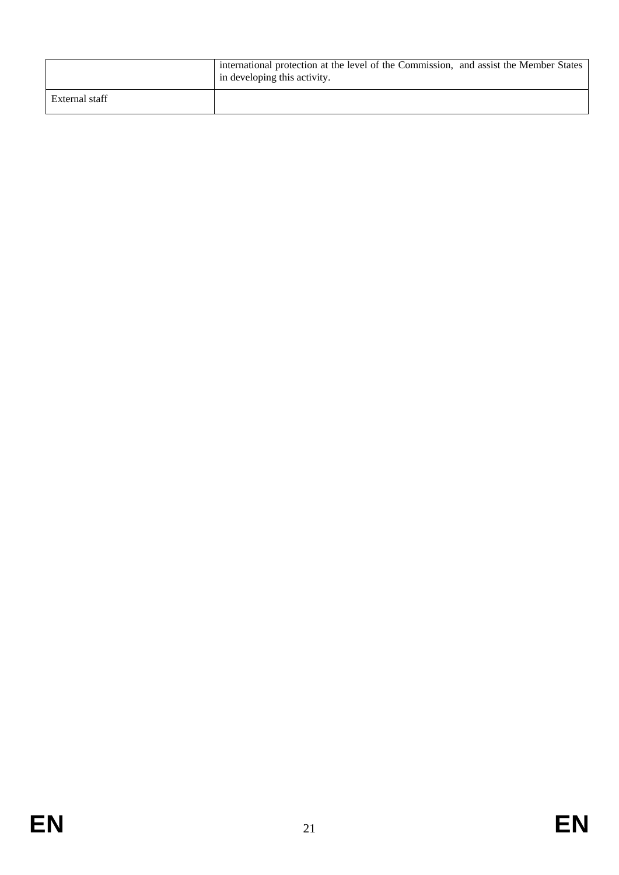|                | international protection at the level of the Commission, and assist the Member States<br>in developing this activity. |
|----------------|-----------------------------------------------------------------------------------------------------------------------|
| External staff |                                                                                                                       |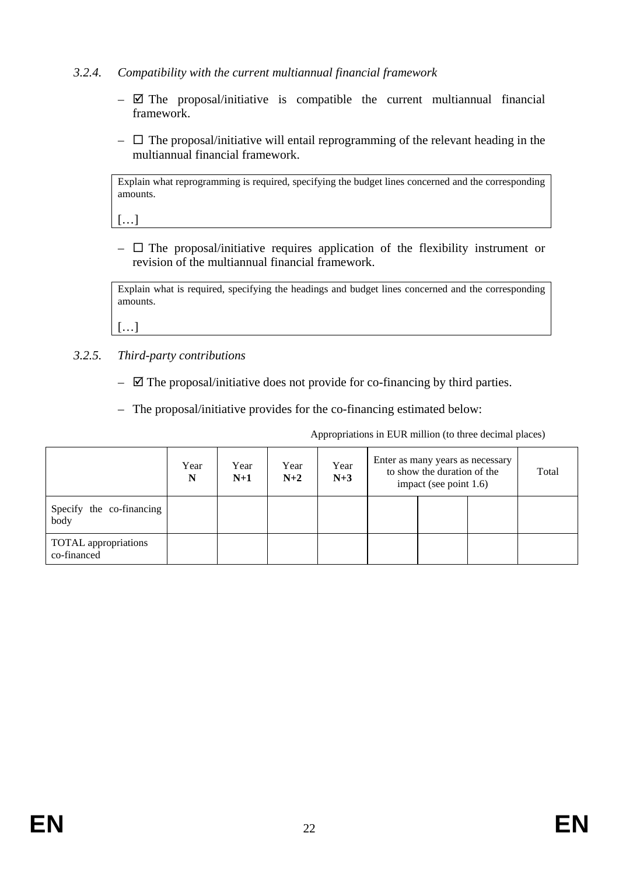### *3.2.4. Compatibility with the current multiannual financial framework*

- $\boxtimes$  The proposal/initiative is compatible the current multiannual financial framework.
- $\Box$  The proposal/initiative will entail reprogramming of the relevant heading in the multiannual financial framework.

Explain what reprogramming is required, specifying the budget lines concerned and the corresponding amounts.

[…]

 $\Box$  The proposal/initiative requires application of the flexibility instrument or revision of the multiannual financial framework.

Explain what is required, specifying the headings and budget lines concerned and the corresponding amounts.

 $[...]$ 

- *3.2.5. Third-party contributions* 
	- $\boxtimes$  The proposal/initiative does not provide for co-financing by third parties.
	- The proposal/initiative provides for the co-financing estimated below:

Appropriations in EUR million (to three decimal places)

|                                            | Year<br>N | Year<br>$N+1$ | Year<br>$N+2$ | Year<br>$N+3$ | Enter as many years as necessary<br>to show the duration of the<br>impact (see point 1.6) |  |  | Total |
|--------------------------------------------|-----------|---------------|---------------|---------------|-------------------------------------------------------------------------------------------|--|--|-------|
| Specify the co-financing<br>body           |           |               |               |               |                                                                                           |  |  |       |
| <b>TOTAL</b> appropriations<br>co-financed |           |               |               |               |                                                                                           |  |  |       |